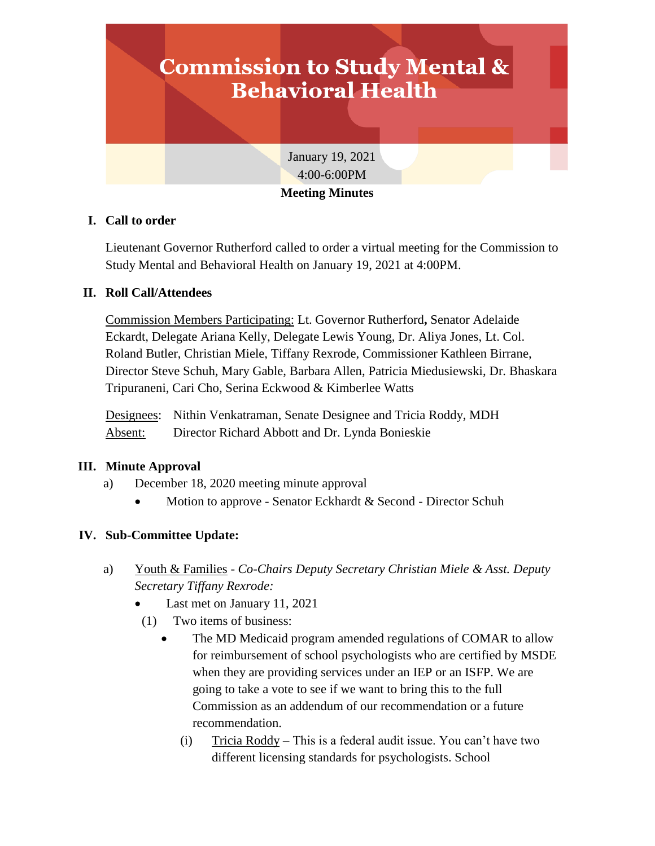# **Commission to Study Mental & Behavioral Health**

January 19, 2021 4:00-6:00PM

#### **Meeting Minutes**

#### **I. Call to order**

Lieutenant Governor Rutherford called to order a virtual meeting for the Commission to Study Mental and Behavioral Health on January 19, 2021 at 4:00PM.

#### **II. Roll Call/Attendees**

Commission Members Participating: Lt. Governor Rutherford**,** Senator Adelaide Eckardt, Delegate Ariana Kelly, Delegate Lewis Young, Dr. Aliya Jones, Lt. Col. Roland Butler, Christian Miele, Tiffany Rexrode, Commissioner Kathleen Birrane, Director Steve Schuh, Mary Gable, Barbara Allen, Patricia Miedusiewski, Dr. Bhaskara Tripuraneni, Cari Cho, Serina Eckwood & Kimberlee Watts

Designees: Nithin Venkatraman, Senate Designee and Tricia Roddy, MDH Absent: Director Richard Abbott and Dr. Lynda Bonieskie

#### **III. Minute Approval**

- a) December 18, 2020 meeting minute approval
	- Motion to approve Senator Eckhardt & Second Director Schuh

### **IV. Sub-Committee Update:**

- a) Youth & Families *Co-Chairs Deputy Secretary Christian Miele & Asst. Deputy Secretary Tiffany Rexrode:*
	- Last met on January 11, 2021
	- (1) Two items of business:
		- The MD Medicaid program amended regulations of COMAR to allow for reimbursement of school psychologists who are certified by MSDE when they are providing services under an IEP or an ISFP. We are going to take a vote to see if we want to bring this to the full Commission as an addendum of our recommendation or a future recommendation.
			- (i) Tricia Roddy This is a federal audit issue. You can't have two different licensing standards for psychologists. School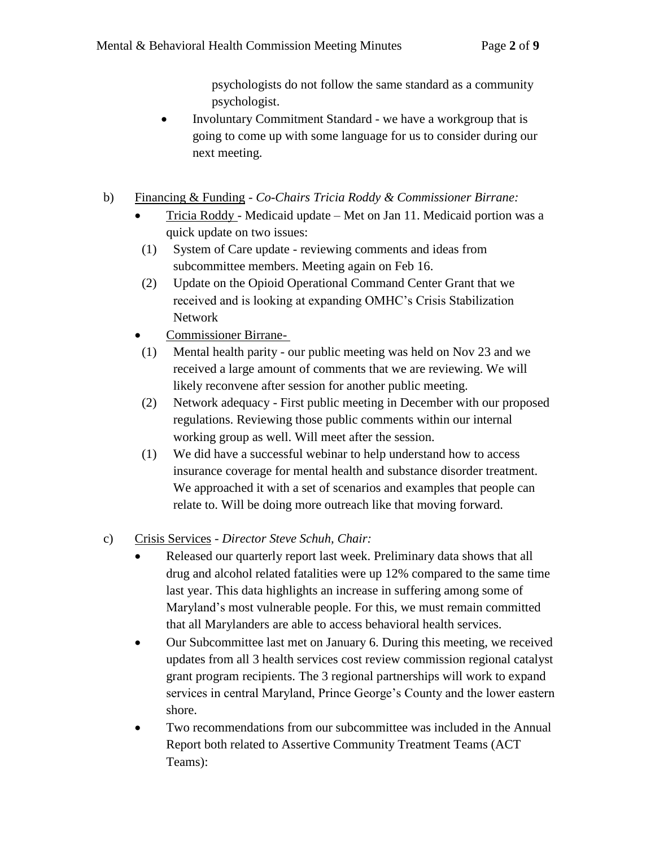psychologists do not follow the same standard as a community psychologist.

 Involuntary Commitment Standard - we have a workgroup that is going to come up with some language for us to consider during our next meeting.

#### b) Financing & Funding - *Co-Chairs Tricia Roddy & Commissioner Birrane:*

- Tricia Roddy Medicaid update Met on Jan 11. Medicaid portion was a quick update on two issues:
- (1) System of Care update reviewing comments and ideas from subcommittee members. Meeting again on Feb 16.
- (2) Update on the Opioid Operational Command Center Grant that we received and is looking at expanding OMHC's Crisis Stabilization Network
- Commissioner Birrane-
- (1) Mental health parity our public meeting was held on Nov 23 and we received a large amount of comments that we are reviewing. We will likely reconvene after session for another public meeting.
- (2) Network adequacy First public meeting in December with our proposed regulations. Reviewing those public comments within our internal working group as well. Will meet after the session.
- (1) We did have a successful webinar to help understand how to access insurance coverage for mental health and substance disorder treatment. We approached it with a set of scenarios and examples that people can relate to. Will be doing more outreach like that moving forward.

#### c) Crisis Services - *Director Steve Schuh, Chair:*

- Released our quarterly report last week. Preliminary data shows that all drug and alcohol related fatalities were up 12% compared to the same time last year. This data highlights an increase in suffering among some of Maryland's most vulnerable people. For this, we must remain committed that all Marylanders are able to access behavioral health services.
- Our Subcommittee last met on January 6. During this meeting, we received updates from all 3 health services cost review commission regional catalyst grant program recipients. The 3 regional partnerships will work to expand services in central Maryland, Prince George's County and the lower eastern shore.
- Two recommendations from our subcommittee was included in the Annual Report both related to Assertive Community Treatment Teams (ACT Teams):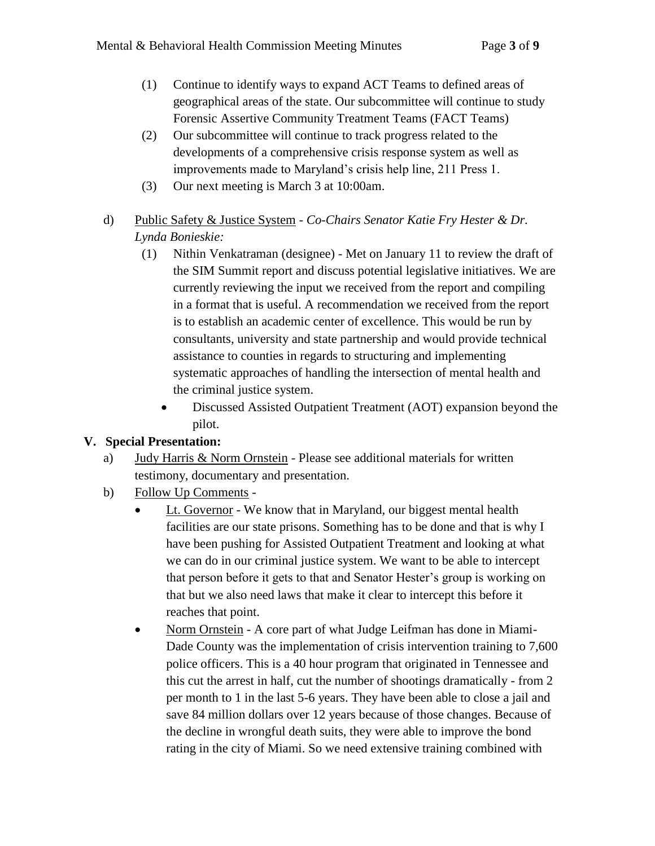- (1) Continue to identify ways to expand ACT Teams to defined areas of geographical areas of the state. Our subcommittee will continue to study Forensic Assertive Community Treatment Teams (FACT Teams)
- (2) Our subcommittee will continue to track progress related to the developments of a comprehensive crisis response system as well as improvements made to Maryland's crisis help line, 211 Press 1.
- (3) Our next meeting is March 3 at 10:00am.

# d) Public Safety & Justice System - *Co-Chairs Senator Katie Fry Hester & Dr. Lynda Bonieskie:*

- (1) Nithin Venkatraman (designee) Met on January 11 to review the draft of the SIM Summit report and discuss potential legislative initiatives. We are currently reviewing the input we received from the report and compiling in a format that is useful. A recommendation we received from the report is to establish an academic center of excellence. This would be run by consultants, university and state partnership and would provide technical assistance to counties in regards to structuring and implementing systematic approaches of handling the intersection of mental health and the criminal justice system.
	- Discussed Assisted Outpatient Treatment (AOT) expansion beyond the pilot.

# **V. Special Presentation:**

- a) Judy Harris & Norm Ornstein Please see additional materials for written testimony, documentary and presentation.
- b) Follow Up Comments
	- Lt. Governor We know that in Maryland, our biggest mental health facilities are our state prisons. Something has to be done and that is why I have been pushing for Assisted Outpatient Treatment and looking at what we can do in our criminal justice system. We want to be able to intercept that person before it gets to that and Senator Hester's group is working on that but we also need laws that make it clear to intercept this before it reaches that point.
	- Norm Ornstein A core part of what Judge Leifman has done in Miami-Dade County was the implementation of crisis intervention training to 7,600 police officers. This is a 40 hour program that originated in Tennessee and this cut the arrest in half, cut the number of shootings dramatically - from 2 per month to 1 in the last 5-6 years. They have been able to close a jail and save 84 million dollars over 12 years because of those changes. Because of the decline in wrongful death suits, they were able to improve the bond rating in the city of Miami. So we need extensive training combined with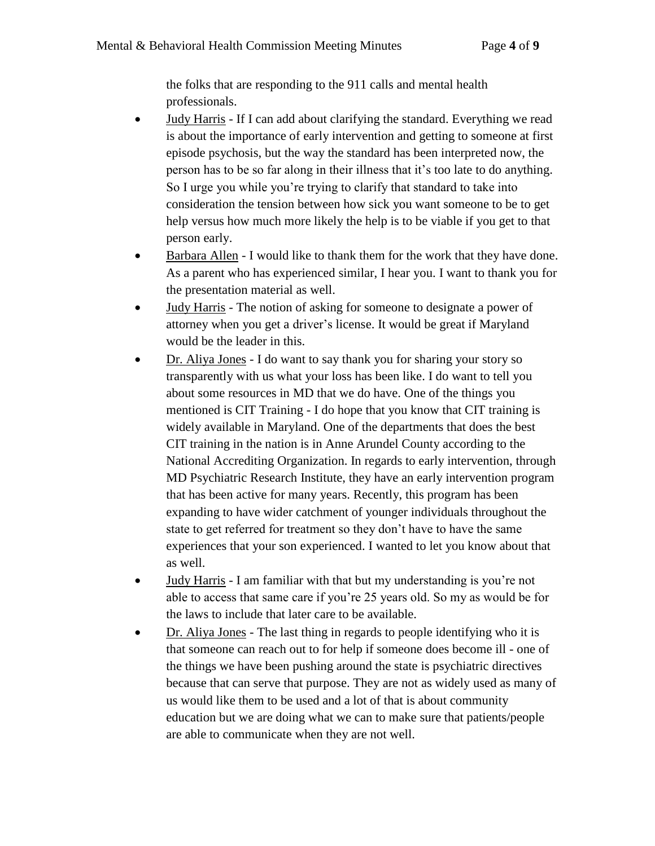the folks that are responding to the 911 calls and mental health professionals.

- Judy Harris If I can add about clarifying the standard. Everything we read is about the importance of early intervention and getting to someone at first episode psychosis, but the way the standard has been interpreted now, the person has to be so far along in their illness that it's too late to do anything. So I urge you while you're trying to clarify that standard to take into consideration the tension between how sick you want someone to be to get help versus how much more likely the help is to be viable if you get to that person early.
- Barbara Allen I would like to thank them for the work that they have done. As a parent who has experienced similar, I hear you. I want to thank you for the presentation material as well.
- Judy Harris The notion of asking for someone to designate a power of attorney when you get a driver's license. It would be great if Maryland would be the leader in this.
- Dr. Aliya Jones I do want to say thank you for sharing your story so transparently with us what your loss has been like. I do want to tell you about some resources in MD that we do have. One of the things you mentioned is CIT Training - I do hope that you know that CIT training is widely available in Maryland. One of the departments that does the best CIT training in the nation is in Anne Arundel County according to the National Accrediting Organization. In regards to early intervention, through MD Psychiatric Research Institute, they have an early intervention program that has been active for many years. Recently, this program has been expanding to have wider catchment of younger individuals throughout the state to get referred for treatment so they don't have to have the same experiences that your son experienced. I wanted to let you know about that as well.
- Judy Harris I am familiar with that but my understanding is you're not able to access that same care if you're 25 years old. So my as would be for the laws to include that later care to be available.
- Dr. Aliya Jones The last thing in regards to people identifying who it is that someone can reach out to for help if someone does become ill - one of the things we have been pushing around the state is psychiatric directives because that can serve that purpose. They are not as widely used as many of us would like them to be used and a lot of that is about community education but we are doing what we can to make sure that patients/people are able to communicate when they are not well.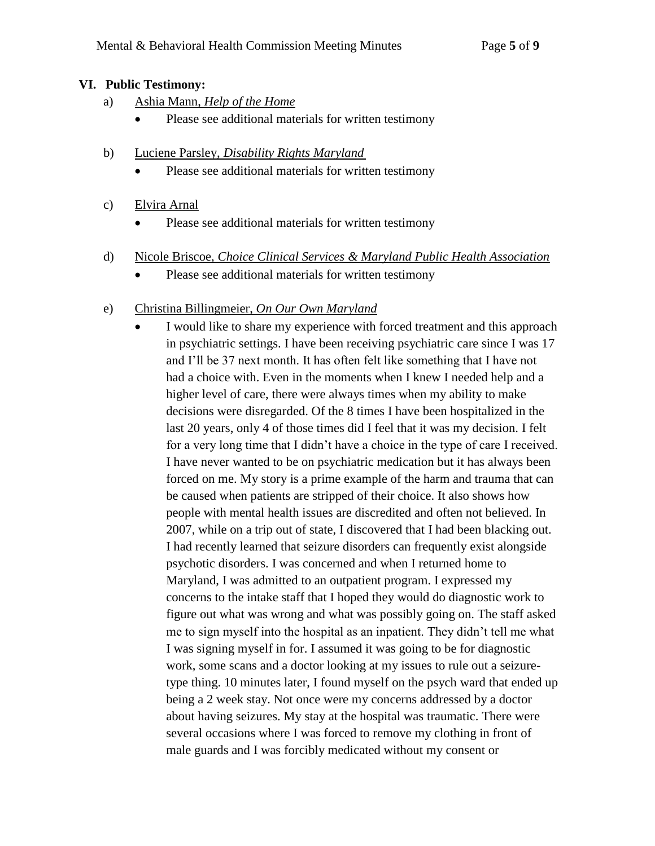#### **VI. Public Testimony:**

- a) Ashia Mann, *Help of the Home*
	- Please see additional materials for written testimony
- b) Luciene Parsley, *Disability Rights Maryland*
	- Please see additional materials for written testimony
- c) Elvira Arnal
	- Please see additional materials for written testimony
- d) Nicole Briscoe, *Choice Clinical Services & Maryland Public Health Association* 
	- Please see additional materials for written testimony

## e) Christina Billingmeier, *On Our Own Maryland*

 I would like to share my experience with forced treatment and this approach in psychiatric settings. I have been receiving psychiatric care since I was 17 and I'll be 37 next month. It has often felt like something that I have not had a choice with. Even in the moments when I knew I needed help and a higher level of care, there were always times when my ability to make decisions were disregarded. Of the 8 times I have been hospitalized in the last 20 years, only 4 of those times did I feel that it was my decision. I felt for a very long time that I didn't have a choice in the type of care I received. I have never wanted to be on psychiatric medication but it has always been forced on me. My story is a prime example of the harm and trauma that can be caused when patients are stripped of their choice. It also shows how people with mental health issues are discredited and often not believed. In 2007, while on a trip out of state, I discovered that I had been blacking out. I had recently learned that seizure disorders can frequently exist alongside psychotic disorders. I was concerned and when I returned home to Maryland, I was admitted to an outpatient program. I expressed my concerns to the intake staff that I hoped they would do diagnostic work to figure out what was wrong and what was possibly going on. The staff asked me to sign myself into the hospital as an inpatient. They didn't tell me what I was signing myself in for. I assumed it was going to be for diagnostic work, some scans and a doctor looking at my issues to rule out a seizuretype thing. 10 minutes later, I found myself on the psych ward that ended up being a 2 week stay. Not once were my concerns addressed by a doctor about having seizures. My stay at the hospital was traumatic. There were several occasions where I was forced to remove my clothing in front of male guards and I was forcibly medicated without my consent or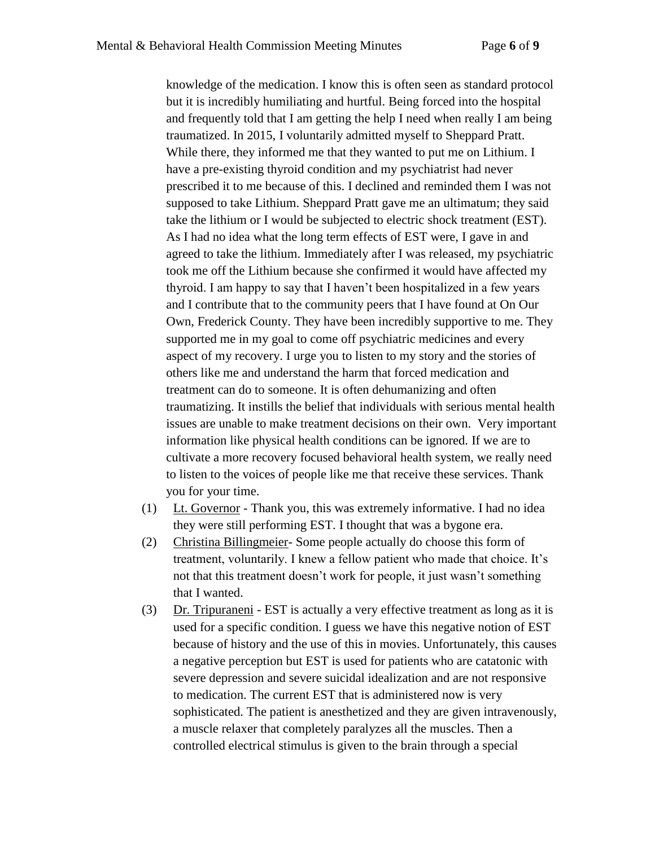knowledge of the medication. I know this is often seen as standard protocol but it is incredibly humiliating and hurtful. Being forced into the hospital and frequently told that I am getting the help I need when really I am being traumatized. In 2015, I voluntarily admitted myself to Sheppard Pratt. While there, they informed me that they wanted to put me on Lithium. I have a pre-existing thyroid condition and my psychiatrist had never prescribed it to me because of this. I declined and reminded them I was not supposed to take Lithium. Sheppard Pratt gave me an ultimatum; they said take the lithium or I would be subjected to electric shock treatment (EST). As I had no idea what the long term effects of EST were, I gave in and agreed to take the lithium. Immediately after I was released, my psychiatric took me off the Lithium because she confirmed it would have affected my thyroid. I am happy to say that I haven't been hospitalized in a few years and I contribute that to the community peers that I have found at On Our Own, Frederick County. They have been incredibly supportive to me. They supported me in my goal to come off psychiatric medicines and every aspect of my recovery. I urge you to listen to my story and the stories of others like me and understand the harm that forced medication and treatment can do to someone. It is often dehumanizing and often traumatizing. It instills the belief that individuals with serious mental health issues are unable to make treatment decisions on their own. Very important information like physical health conditions can be ignored. If we are to cultivate a more recovery focused behavioral health system, we really need to listen to the voices of people like me that receive these services. Thank you for your time.

- (1) Lt. Governor Thank you, this was extremely informative. I had no idea they were still performing EST. I thought that was a bygone era.
- (2) Christina Billingmeier- Some people actually do choose this form of treatment, voluntarily. I knew a fellow patient who made that choice. It's not that this treatment doesn't work for people, it just wasn't something that I wanted.
- (3) Dr. Tripuraneni EST is actually a very effective treatment as long as it is used for a specific condition. I guess we have this negative notion of EST because of history and the use of this in movies. Unfortunately, this causes a negative perception but EST is used for patients who are catatonic with severe depression and severe suicidal idealization and are not responsive to medication. The current EST that is administered now is very sophisticated. The patient is anesthetized and they are given intravenously, a muscle relaxer that completely paralyzes all the muscles. Then a controlled electrical stimulus is given to the brain through a special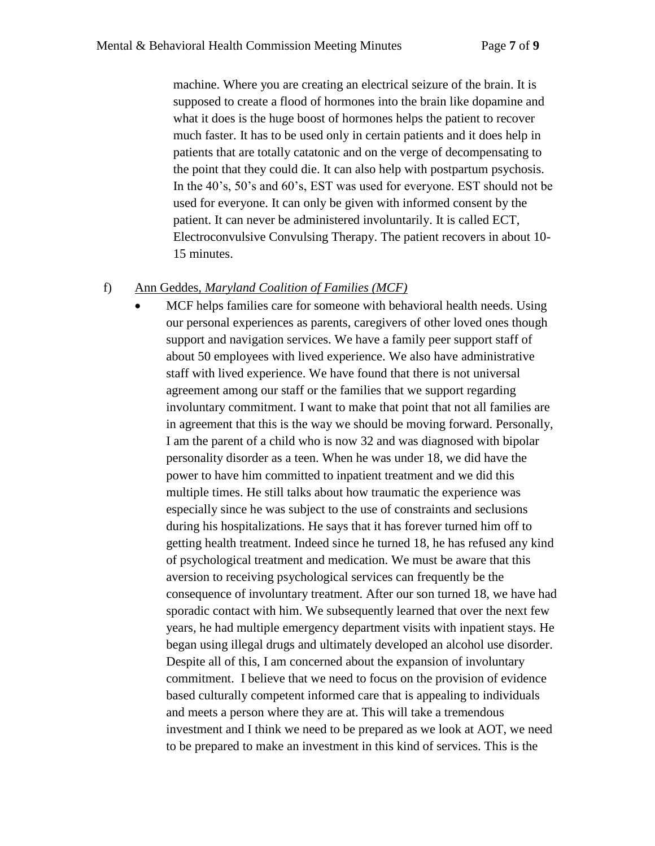machine. Where you are creating an electrical seizure of the brain. It is supposed to create a flood of hormones into the brain like dopamine and what it does is the huge boost of hormones helps the patient to recover much faster. It has to be used only in certain patients and it does help in patients that are totally catatonic and on the verge of decompensating to the point that they could die. It can also help with postpartum psychosis. In the 40's, 50's and 60's, EST was used for everyone. EST should not be used for everyone. It can only be given with informed consent by the patient. It can never be administered involuntarily. It is called ECT, Electroconvulsive Convulsing Therapy. The patient recovers in about 10- 15 minutes.

#### f) Ann Geddes*, Maryland Coalition of Families (MCF)*

 MCF helps families care for someone with behavioral health needs. Using our personal experiences as parents, caregivers of other loved ones though support and navigation services. We have a family peer support staff of about 50 employees with lived experience. We also have administrative staff with lived experience. We have found that there is not universal agreement among our staff or the families that we support regarding involuntary commitment. I want to make that point that not all families are in agreement that this is the way we should be moving forward. Personally, I am the parent of a child who is now 32 and was diagnosed with bipolar personality disorder as a teen. When he was under 18, we did have the power to have him committed to inpatient treatment and we did this multiple times. He still talks about how traumatic the experience was especially since he was subject to the use of constraints and seclusions during his hospitalizations. He says that it has forever turned him off to getting health treatment. Indeed since he turned 18, he has refused any kind of psychological treatment and medication. We must be aware that this aversion to receiving psychological services can frequently be the consequence of involuntary treatment. After our son turned 18, we have had sporadic contact with him. We subsequently learned that over the next few years, he had multiple emergency department visits with inpatient stays. He began using illegal drugs and ultimately developed an alcohol use disorder. Despite all of this, I am concerned about the expansion of involuntary commitment. I believe that we need to focus on the provision of evidence based culturally competent informed care that is appealing to individuals and meets a person where they are at. This will take a tremendous investment and I think we need to be prepared as we look at AOT, we need to be prepared to make an investment in this kind of services. This is the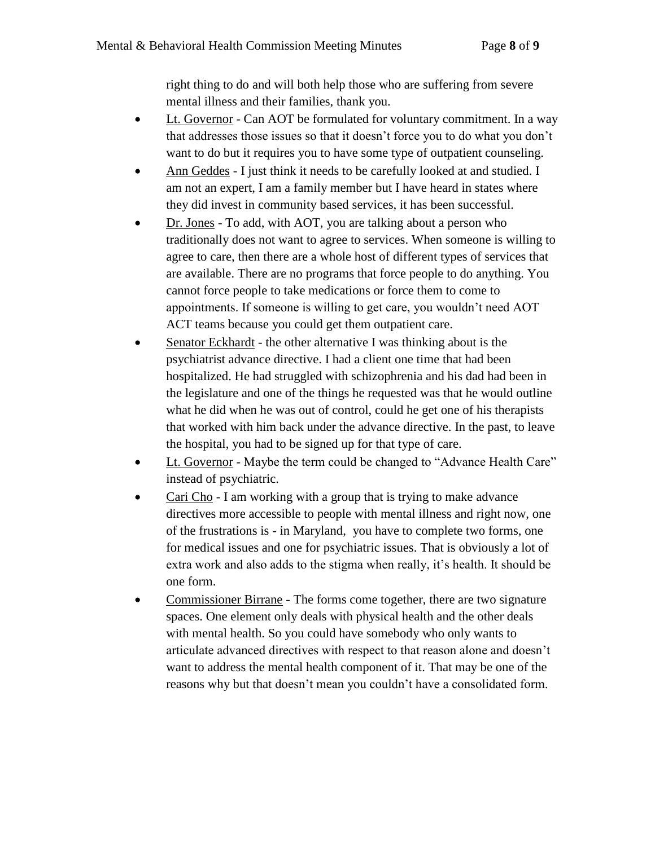right thing to do and will both help those who are suffering from severe mental illness and their families, thank you.

- Lt. Governor Can AOT be formulated for voluntary commitment. In a way that addresses those issues so that it doesn't force you to do what you don't want to do but it requires you to have some type of outpatient counseling.
- Ann Geddes I just think it needs to be carefully looked at and studied. I am not an expert, I am a family member but I have heard in states where they did invest in community based services, it has been successful.
- Dr. Jones To add, with AOT, you are talking about a person who traditionally does not want to agree to services. When someone is willing to agree to care, then there are a whole host of different types of services that are available. There are no programs that force people to do anything. You cannot force people to take medications or force them to come to appointments. If someone is willing to get care, you wouldn't need AOT ACT teams because you could get them outpatient care.
- Senator Eckhardt the other alternative I was thinking about is the psychiatrist advance directive. I had a client one time that had been hospitalized. He had struggled with schizophrenia and his dad had been in the legislature and one of the things he requested was that he would outline what he did when he was out of control, could he get one of his therapists that worked with him back under the advance directive. In the past, to leave the hospital, you had to be signed up for that type of care.
- Lt. Governor Maybe the term could be changed to "Advance Health Care" instead of psychiatric.
- Cari Cho I am working with a group that is trying to make advance directives more accessible to people with mental illness and right now, one of the frustrations is - in Maryland, you have to complete two forms, one for medical issues and one for psychiatric issues. That is obviously a lot of extra work and also adds to the stigma when really, it's health. It should be one form.
- Commissioner Birrane The forms come together, there are two signature spaces. One element only deals with physical health and the other deals with mental health. So you could have somebody who only wants to articulate advanced directives with respect to that reason alone and doesn't want to address the mental health component of it. That may be one of the reasons why but that doesn't mean you couldn't have a consolidated form.